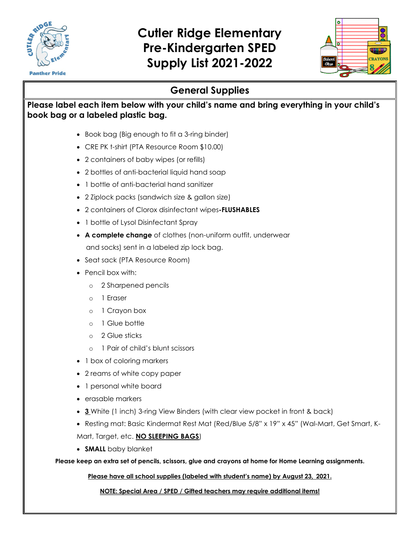

## **Cutler Ridge Elementary Pre-Kindergarten SPED Supply List 2021-2022**



### **General Supplies**

### **Please label each item below with your child's name and bring everything in your child's book bag or a labeled plastic bag.**

- Book bag (Big enough to fit a 3-ring binder)
- CRE PK t-shirt (PTA Resource Room \$10.00)
- 2 containers of baby wipes (or refills)
- 2 bottles of anti-bacterial liquid hand soap
- 1 bottle of anti-bacterial hand sanitizer
- 2 Ziplock packs (sandwich size & gallon size)
- 2 containers of Clorox disinfectant wipes**-FLUSHABLES**
- 1 bottle of Lysol Disinfectant Spray
- **A complete change** of clothes (non-uniform outfit, underwear and socks) sent in a labeled zip lock bag.
- Seat sack (PTA Resource Room)
- Pencil box with:
	- o 2 Sharpened pencils
	- o 1 Eraser
	- o 1 Crayon box
	- o 1 Glue bottle
	- o 2 Glue sticks
	- o 1 Pair of child's blunt scissors
- 1 box of coloring markers
- 2 reams of white copy paper
- 1 personal white board
- erasable markers
- **3** White (1 inch) 3-ring View Binders (with clear view pocket in front & back)
- Resting mat: Basic Kindermat Rest Mat (Red/Blue 5/8" x 19" x 45" (Wal-Mart, Get Smart, K-Mart, Target, etc. **NO SLEEPING BAGS**)
- **SMALL** baby blanket

**Please keep an extra set of pencils, scissors, glue and crayons at home for Home Learning assignments.**

**Please have all school supplies (labeled with student's name) by August 23, 2021.**

**NOTE: Special Area / SPED / Gifted teachers may require additional items!**